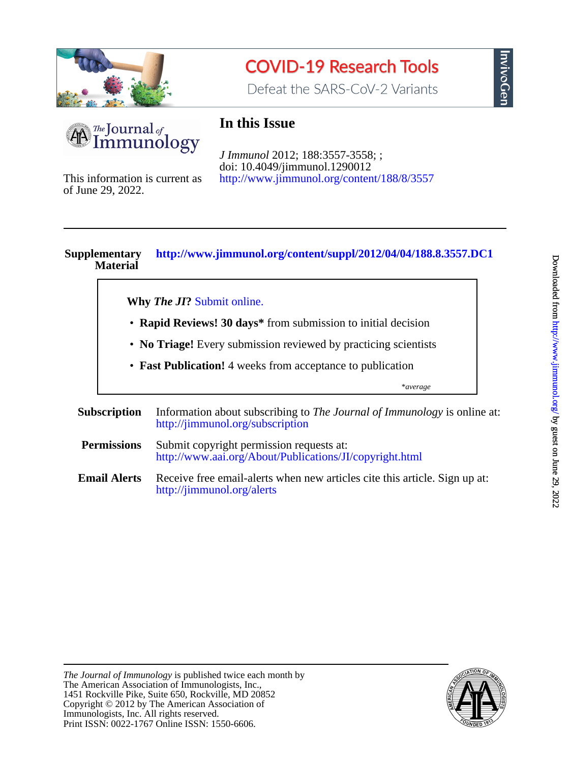

# **COVID-19 Research Tools**

Defeat the SARS-CoV-2 Variants



# **In this Issue**

<http://www.jimmunol.org/content/188/8/3557> doi: 10.4049/jimmunol.1290012 *J Immunol* 2012; 188:3557-3558; ;

of June 29, 2022. This information is current as

# **Material Supplementary <http://www.jimmunol.org/content/suppl/2012/04/04/188.8.3557.DC1>**

**Why** *The JI***?** [Submit online.](https://ji.msubmit.net)

- **Rapid Reviews! 30 days\*** from submission to initial decision
- **No Triage!** Every submission reviewed by practicing scientists
- **Fast Publication!** 4 weeks from acceptance to publication

\**average*

- **Subscription** <http://jimmunol.org/subscription> Information about subscribing to *The Journal of Immunology* is online at: **Permissions** <http://www.aai.org/About/Publications/JI/copyright.html> Submit copyright permission requests at:
- **Email Alerts** <http://jimmunol.org/alerts> Receive free email-alerts when new articles cite this article. Sign up at:

nvivoGen



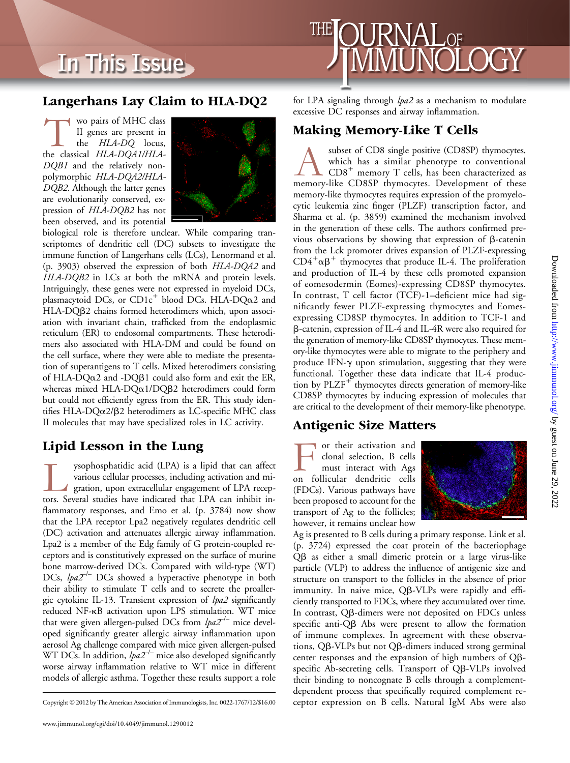# In This Issue



### Langerhans Lay Claim to HLA-DQ2

Wo pairs of MHC class<br>
II genes are present in<br>
the *HLA-DQ* locus,<br>
the classical *HLA-DQA1/HLA-*II genes are present in the HLA-DQ locus, DQB1 and the relatively nonpolymorphic HLA-DQA2/HLA-DQB2. Although the latter genes are evolutionarily conserved, expression of HLA-DQB2 has not been observed, and its potential



biological role is therefore unclear. While comparing transcriptomes of dendritic cell (DC) subsets to investigate the immune function of Langerhans cells (LCs), Lenormand et al. (p. 3903) observed the expression of both HLA-DQA2 and HLA-DQB2 in LCs at both the mRNA and protein levels. Intriguingly, these genes were not expressed in myeloid DCs, plasmacytoid DCs, or  $CD1c^+$  blood DCs. HLA-DQ $\alpha$ 2 and HLA-DQβ2 chains formed heterodimers which, upon association with invariant chain, trafficked from the endoplasmic reticulum (ER) to endosomal compartments. These heterodimers also associated with HLA-DM and could be found on the cell surface, where they were able to mediate the presentation of superantigens to T cells. Mixed heterodimers consisting of HLA-DQ $\alpha$ 2 and -DQ $\beta$ 1 could also form and exit the ER, whereas mixed HLA- $DQ\alpha$ 1/ $DQ\beta$ 2 heterodimers could form but could not efficiently egress from the ER. This study identifies HLA- $DQ\alpha$ 2/ $\beta$ 2 heterodimers as LC-specific MHC class II molecules that may have specialized roles in LC activity.

## Lipid Lesson in the Lung

ysophosphatidic acid (LPA) is a lipid that can affect various cellular processes, including activation and migration, upon extracellular engagement of LPA receptors. Several studies have indicated that LPA can inhibit invarious cellular processes, including activation and migration, upon extracellular engagement of LPA recepflammatory responses, and Emo et al. (p. 3784) now show that the LPA receptor Lpa2 negatively regulates dendritic cell (DC) activation and attenuates allergic airway inflammation. Lpa2 is a member of the Edg family of G protein-coupled receptors and is constitutively expressed on the surface of murine bone marrow-derived DCs. Compared with wild-type (WT) DCs,  $lpa2^{-/-}$  DCs showed a hyperactive phenotype in both their ability to stimulate T cells and to secrete the proallergic cytokine IL-13. Transient expression of lpa2 significantly reduced NF-kB activation upon LPS stimulation. WT mice that were given allergen-pulsed DCs from  $lpa2^{-/-}$  mice developed significantly greater allergic airway inflammation upon aerosol Ag challenge compared with mice given allergen-pulsed WT DCs. In addition,  $lpa2^{-/-}$  mice also developed significantly worse airway inflammation relative to WT mice in different models of allergic asthma. Together these results support a role

for LPA signaling through *lpa2* as a mechanism to modulate excessive DC responses and airway inflammation.

#### Making Memory-Like T Cells

subset of CD8 single positive (CD8SP) thymocytes, which has a similar phenotype to conventional CD8<sup>+</sup> memory T cells, has been characterized as memory-like CD8SP thymocytes. Development of these which has a similar phenotype to conventional  $CDS<sup>+</sup>$  memory T cells, has been characterized as memory-like thymocytes requires expression of the promyelocytic leukemia zinc finger (PLZF) transcription factor, and Sharma et al. (p. 3859) examined the mechanism involved in the generation of these cells. The authors confirmed previous observations by showing that expression of  $\beta$ -catenin from the Lck promoter drives expansion of PLZF-expressing  $CD4^+\alpha\beta^+$  thymocytes that produce IL-4. The proliferation and production of IL-4 by these cells promoted expansion of eomesodermin (Eomes)-expressing CD8SP thymocytes. In contrast, T cell factor (TCF)-1–deficient mice had significantly fewer PLZF-expressing thymocytes and Eomesexpressing CD8SP thymocytes. In addition to TCF-1 and b-catenin, expression of IL-4 and IL-4R were also required for the generation of memory-like CD8SP thymocytes. These memory-like thymocytes were able to migrate to the periphery and produce IFN- $\gamma$  upon stimulation, suggesting that they were functional. Together these data indicate that IL-4 production by  $PLZF^+$  thymocytes directs generation of memory-like CD8SP thymocytes by inducing expression of molecules that are critical to the development of their memory-like phenotype.

#### Antigenic Size Matters

For their activation and<br>
clonal selection, B cells<br>
must interact with Ags<br>
on follicular dendritic cells clonal selection, B cells must interact with Ags (FDCs). Various pathways have been proposed to account for the transport of Ag to the follicles; however, it remains unclear how



Ag is presented to B cells during a primary response. Link et al. (p. 3724) expressed the coat protein of the bacteriophage Qb as either a small dimeric protein or a large virus-like particle (VLP) to address the influence of antigenic size and structure on transport to the follicles in the absence of prior immunity. In naive mice, QB-VLPs were rapidly and efficiently transported to FDCs, where they accumulated over time. In contrast, QB-dimers were not deposited on FDCs unless specific anti-Q $\beta$  Abs were present to allow the formation of immune complexes. In agreement with these observations, Qb-VLPs but not Qb-dimers induced strong germinal center responses and the expansion of high numbers of Qbspecific Ab-secreting cells. Transport of QB-VLPs involved their binding to noncognate B cells through a complementdependent process that specifically required complement re-Copyright © 2012 by The American Association of Immunologists, Inc. 0022-1767/12/\$16.00 ceptor expression on B cells. Natural IgM Abs were also